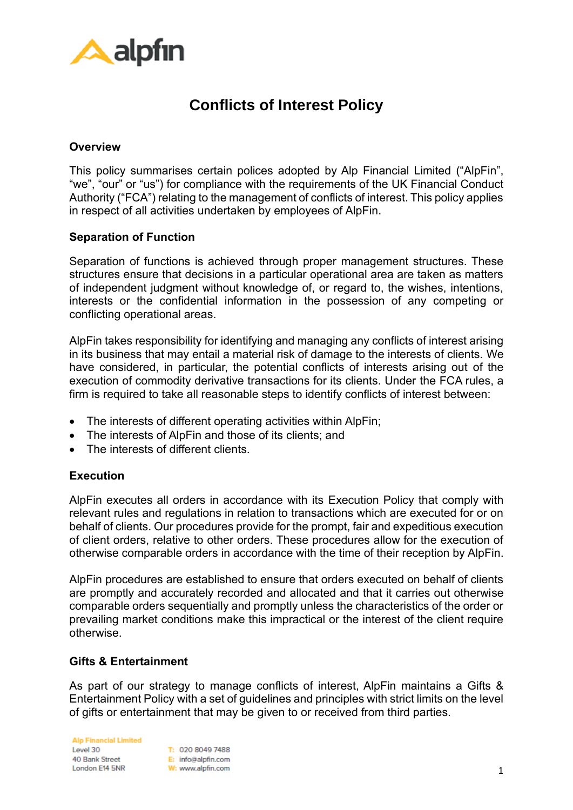

# **Conflicts of Interest Policy**

## **Overview**

This policy summarises certain polices adopted by Alp Financial Limited ("AlpFin", "we", "our" or "us") for compliance with the requirements of the UK Financial Conduct Authority ("FCA") relating to the management of conflicts of interest. This policy applies in respect of all activities undertaken by employees of AlpFin.

### **Separation of Function**

Separation of functions is achieved through proper management structures. These structures ensure that decisions in a particular operational area are taken as matters of independent judgment without knowledge of, or regard to, the wishes, intentions, interests or the confidential information in the possession of any competing or conflicting operational areas.

AlpFin takes responsibility for identifying and managing any conflicts of interest arising in its business that may entail a material risk of damage to the interests of clients. We have considered, in particular, the potential conflicts of interests arising out of the execution of commodity derivative transactions for its clients. Under the FCA rules, a firm is required to take all reasonable steps to identify conflicts of interest between:

- The interests of different operating activities within AlpFin;
- The interests of AlpFin and those of its clients; and
- The interests of different clients.

### **Execution**

AlpFin executes all orders in accordance with its Execution Policy that comply with relevant rules and regulations in relation to transactions which are executed for or on behalf of clients. Our procedures provide for the prompt, fair and expeditious execution of client orders, relative to other orders. These procedures allow for the execution of otherwise comparable orders in accordance with the time of their reception by AlpFin.

AlpFin procedures are established to ensure that orders executed on behalf of clients are promptly and accurately recorded and allocated and that it carries out otherwise comparable orders sequentially and promptly unless the characteristics of the order or prevailing market conditions make this impractical or the interest of the client require otherwise.

### **Gifts & Entertainment**

As part of our strategy to manage conflicts of interest, AlpFin maintains a Gifts & Entertainment Policy with a set of guidelines and principles with strict limits on the level of gifts or entertainment that may be given to or received from third parties.

**Alp Financial Limited** Lovel 30 40 Bank Street London E14 5NR

T: 020 8049 7488 E: info@alpfin.com W: www.alpfin.com